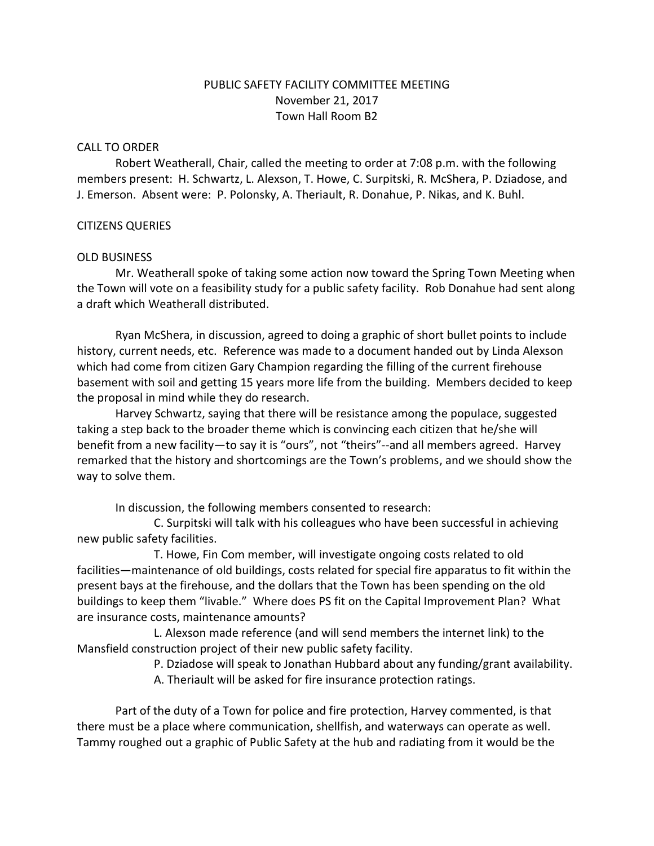# PUBLIC SAFETY FACILITY COMMITTEE MEETING November 21, 2017 Town Hall Room B2

#### CALL TO ORDER

Robert Weatherall, Chair, called the meeting to order at 7:08 p.m. with the following members present: H. Schwartz, L. Alexson, T. Howe, C. Surpitski, R. McShera, P. Dziadose, and J. Emerson. Absent were: P. Polonsky, A. Theriault, R. Donahue, P. Nikas, and K. Buhl.

### CITIZENS QUERIES

#### OLD BUSINESS

Mr. Weatherall spoke of taking some action now toward the Spring Town Meeting when the Town will vote on a feasibility study for a public safety facility. Rob Donahue had sent along a draft which Weatherall distributed.

Ryan McShera, in discussion, agreed to doing a graphic of short bullet points to include history, current needs, etc. Reference was made to a document handed out by Linda Alexson which had come from citizen Gary Champion regarding the filling of the current firehouse basement with soil and getting 15 years more life from the building. Members decided to keep the proposal in mind while they do research.

Harvey Schwartz, saying that there will be resistance among the populace, suggested taking a step back to the broader theme which is convincing each citizen that he/she will benefit from a new facility—to say it is "ours", not "theirs"--and all members agreed. Harvey remarked that the history and shortcomings are the Town's problems, and we should show the way to solve them.

In discussion, the following members consented to research:

C. Surpitski will talk with his colleagues who have been successful in achieving new public safety facilities.

T. Howe, Fin Com member, will investigate ongoing costs related to old facilities—maintenance of old buildings, costs related for special fire apparatus to fit within the present bays at the firehouse, and the dollars that the Town has been spending on the old buildings to keep them "livable." Where does PS fit on the Capital Improvement Plan? What are insurance costs, maintenance amounts?

L. Alexson made reference (and will send members the internet link) to the Mansfield construction project of their new public safety facility.

P. Dziadose will speak to Jonathan Hubbard about any funding/grant availability.

A. Theriault will be asked for fire insurance protection ratings.

Part of the duty of a Town for police and fire protection, Harvey commented, is that there must be a place where communication, shellfish, and waterways can operate as well. Tammy roughed out a graphic of Public Safety at the hub and radiating from it would be the